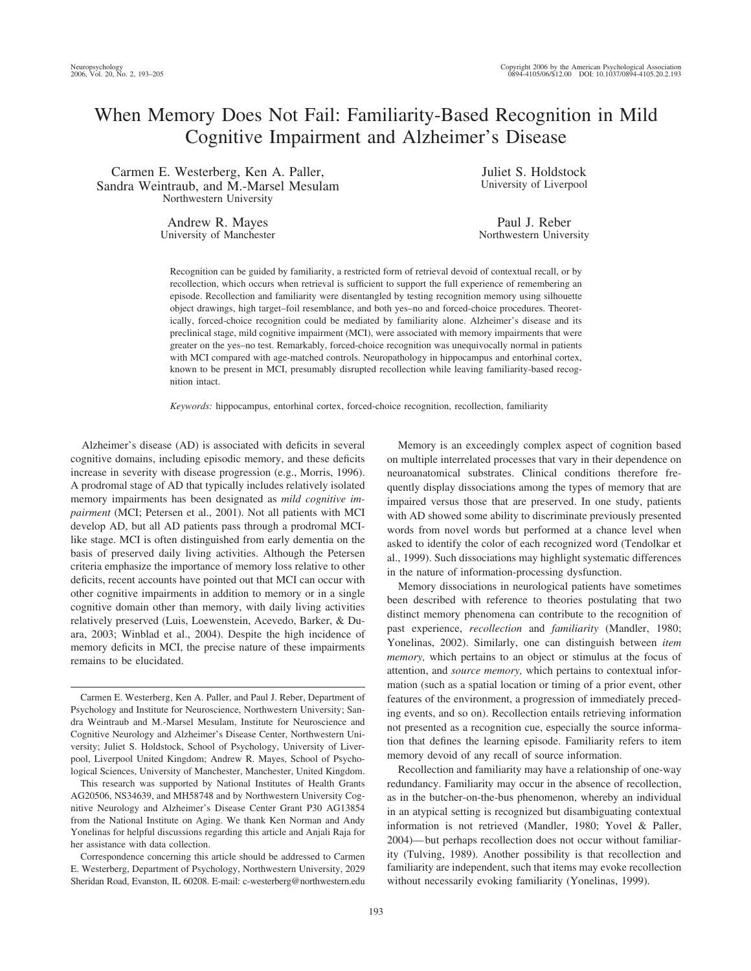# When Memory Does Not Fail: Familiarity-Based Recognition in Mild Cognitive Impairment and Alzheimer's Disease

Carmen E. Westerberg, Ken A. Paller, Sandra Weintraub, and M.-Marsel Mesulam Northwestern University

> Andrew R. Mayes University of Manchester

Juliet S. Holdstock University of Liverpool

Paul J. Reber Northwestern University

Recognition can be guided by familiarity, a restricted form of retrieval devoid of contextual recall, or by recollection, which occurs when retrieval is sufficient to support the full experience of remembering an episode. Recollection and familiarity were disentangled by testing recognition memory using silhouette object drawings, high target–foil resemblance, and both yes–no and forced-choice procedures. Theoretically, forced-choice recognition could be mediated by familiarity alone. Alzheimer's disease and its preclinical stage, mild cognitive impairment (MCI), were associated with memory impairments that were greater on the yes–no test. Remarkably, forced-choice recognition was unequivocally normal in patients with MCI compared with age-matched controls. Neuropathology in hippocampus and entorhinal cortex, known to be present in MCI, presumably disrupted recollection while leaving familiarity-based recognition intact.

*Keywords:* hippocampus, entorhinal cortex, forced-choice recognition, recollection, familiarity

Alzheimer's disease (AD) is associated with deficits in several cognitive domains, including episodic memory, and these deficits increase in severity with disease progression (e.g., Morris, 1996). A prodromal stage of AD that typically includes relatively isolated memory impairments has been designated as *mild cognitive impairment* (MCI; Petersen et al., 2001). Not all patients with MCI develop AD, but all AD patients pass through a prodromal MCIlike stage. MCI is often distinguished from early dementia on the basis of preserved daily living activities. Although the Petersen criteria emphasize the importance of memory loss relative to other deficits, recent accounts have pointed out that MCI can occur with other cognitive impairments in addition to memory or in a single cognitive domain other than memory, with daily living activities relatively preserved (Luis, Loewenstein, Acevedo, Barker, & Duara, 2003; Winblad et al., 2004). Despite the high incidence of memory deficits in MCI, the precise nature of these impairments remains to be elucidated.

Carmen E. Westerberg, Ken A. Paller, and Paul J. Reber, Department of Psychology and Institute for Neuroscience, Northwestern University; Sandra Weintraub and M.-Marsel Mesulam, Institute for Neuroscience and Cognitive Neurology and Alzheimer's Disease Center, Northwestern University; Juliet S. Holdstock, School of Psychology, University of Liverpool, Liverpool United Kingdom; Andrew R. Mayes, School of Psychological Sciences, University of Manchester, Manchester, United Kingdom.

This research was supported by National Institutes of Health Grants AG20506, NS34639, and MH58748 and by Northwestern University Cognitive Neurology and Alzheimer's Disease Center Grant P30 AG13854 from the National Institute on Aging. We thank Ken Norman and Andy Yonelinas for helpful discussions regarding this article and Anjali Raja for her assistance with data collection.

Correspondence concerning this article should be addressed to Carmen E. Westerberg, Department of Psychology, Northwestern University, 2029 Sheridan Road, Evanston, IL 60208. E-mail: c-westerberg@northwestern.edu

Memory is an exceedingly complex aspect of cognition based on multiple interrelated processes that vary in their dependence on neuroanatomical substrates. Clinical conditions therefore frequently display dissociations among the types of memory that are impaired versus those that are preserved. In one study, patients with AD showed some ability to discriminate previously presented words from novel words but performed at a chance level when asked to identify the color of each recognized word (Tendolkar et al., 1999). Such dissociations may highlight systematic differences in the nature of information-processing dysfunction.

Memory dissociations in neurological patients have sometimes been described with reference to theories postulating that two distinct memory phenomena can contribute to the recognition of past experience, *recollection* and *familiarity* (Mandler, 1980; Yonelinas, 2002). Similarly, one can distinguish between *item memory,* which pertains to an object or stimulus at the focus of attention, and *source memory,* which pertains to contextual information (such as a spatial location or timing of a prior event, other features of the environment, a progression of immediately preceding events, and so on). Recollection entails retrieving information not presented as a recognition cue, especially the source information that defines the learning episode. Familiarity refers to item memory devoid of any recall of source information.

Recollection and familiarity may have a relationship of one-way redundancy. Familiarity may occur in the absence of recollection, as in the butcher-on-the-bus phenomenon, whereby an individual in an atypical setting is recognized but disambiguating contextual information is not retrieved (Mandler, 1980; Yovel & Paller, 2004)—but perhaps recollection does not occur without familiarity (Tulving, 1989). Another possibility is that recollection and familiarity are independent, such that items may evoke recollection without necessarily evoking familiarity (Yonelinas, 1999).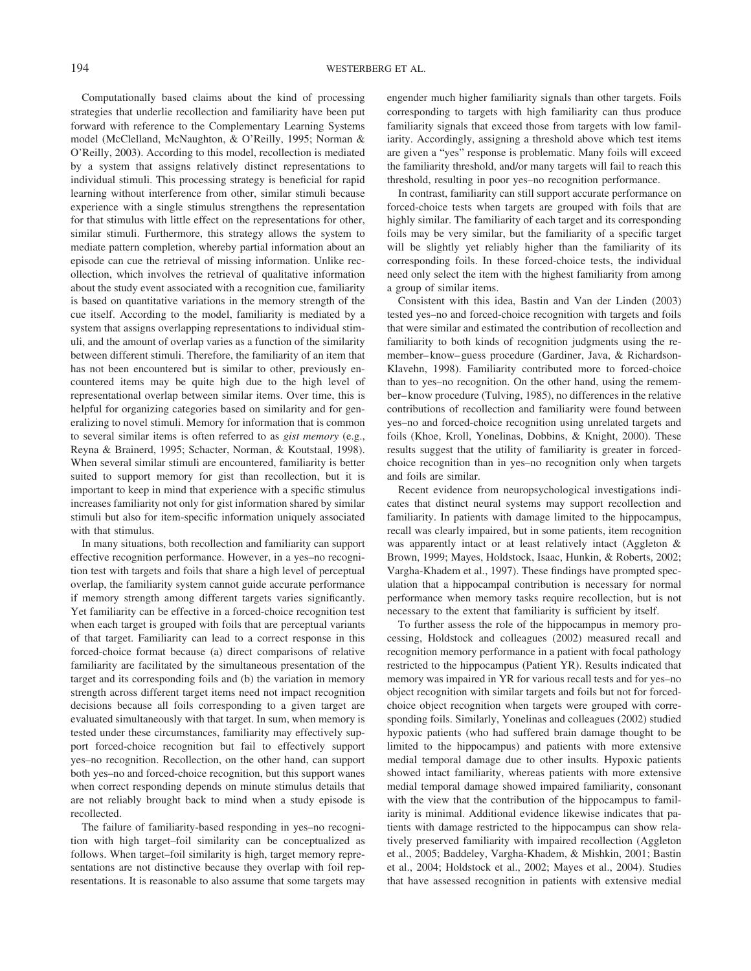Computationally based claims about the kind of processing strategies that underlie recollection and familiarity have been put forward with reference to the Complementary Learning Systems model (McClelland, McNaughton, & O'Reilly, 1995; Norman & O'Reilly, 2003). According to this model, recollection is mediated by a system that assigns relatively distinct representations to individual stimuli. This processing strategy is beneficial for rapid learning without interference from other, similar stimuli because experience with a single stimulus strengthens the representation for that stimulus with little effect on the representations for other, similar stimuli. Furthermore, this strategy allows the system to mediate pattern completion, whereby partial information about an episode can cue the retrieval of missing information. Unlike recollection, which involves the retrieval of qualitative information about the study event associated with a recognition cue, familiarity is based on quantitative variations in the memory strength of the cue itself. According to the model, familiarity is mediated by a system that assigns overlapping representations to individual stimuli, and the amount of overlap varies as a function of the similarity between different stimuli. Therefore, the familiarity of an item that has not been encountered but is similar to other, previously encountered items may be quite high due to the high level of representational overlap between similar items. Over time, this is helpful for organizing categories based on similarity and for generalizing to novel stimuli. Memory for information that is common to several similar items is often referred to as *gist memory* (e.g., Reyna & Brainerd, 1995; Schacter, Norman, & Koutstaal, 1998). When several similar stimuli are encountered, familiarity is better suited to support memory for gist than recollection, but it is important to keep in mind that experience with a specific stimulus increases familiarity not only for gist information shared by similar stimuli but also for item-specific information uniquely associated with that stimulus.

In many situations, both recollection and familiarity can support effective recognition performance. However, in a yes–no recognition test with targets and foils that share a high level of perceptual overlap, the familiarity system cannot guide accurate performance if memory strength among different targets varies significantly. Yet familiarity can be effective in a forced-choice recognition test when each target is grouped with foils that are perceptual variants of that target. Familiarity can lead to a correct response in this forced-choice format because (a) direct comparisons of relative familiarity are facilitated by the simultaneous presentation of the target and its corresponding foils and (b) the variation in memory strength across different target items need not impact recognition decisions because all foils corresponding to a given target are evaluated simultaneously with that target. In sum, when memory is tested under these circumstances, familiarity may effectively support forced-choice recognition but fail to effectively support yes–no recognition. Recollection, on the other hand, can support both yes–no and forced-choice recognition, but this support wanes when correct responding depends on minute stimulus details that are not reliably brought back to mind when a study episode is recollected.

The failure of familiarity-based responding in yes–no recognition with high target–foil similarity can be conceptualized as follows. When target–foil similarity is high, target memory representations are not distinctive because they overlap with foil representations. It is reasonable to also assume that some targets may engender much higher familiarity signals than other targets. Foils corresponding to targets with high familiarity can thus produce familiarity signals that exceed those from targets with low familiarity. Accordingly, assigning a threshold above which test items are given a "yes" response is problematic. Many foils will exceed the familiarity threshold, and/or many targets will fail to reach this threshold, resulting in poor yes–no recognition performance.

In contrast, familiarity can still support accurate performance on forced-choice tests when targets are grouped with foils that are highly similar. The familiarity of each target and its corresponding foils may be very similar, but the familiarity of a specific target will be slightly yet reliably higher than the familiarity of its corresponding foils. In these forced-choice tests, the individual need only select the item with the highest familiarity from among a group of similar items.

Consistent with this idea, Bastin and Van der Linden (2003) tested yes–no and forced-choice recognition with targets and foils that were similar and estimated the contribution of recollection and familiarity to both kinds of recognition judgments using the remember–know–guess procedure (Gardiner, Java, & Richardson-Klavehn, 1998). Familiarity contributed more to forced-choice than to yes–no recognition. On the other hand, using the remember–know procedure (Tulving, 1985), no differences in the relative contributions of recollection and familiarity were found between yes–no and forced-choice recognition using unrelated targets and foils (Khoe, Kroll, Yonelinas, Dobbins, & Knight, 2000). These results suggest that the utility of familiarity is greater in forcedchoice recognition than in yes–no recognition only when targets and foils are similar.

Recent evidence from neuropsychological investigations indicates that distinct neural systems may support recollection and familiarity. In patients with damage limited to the hippocampus, recall was clearly impaired, but in some patients, item recognition was apparently intact or at least relatively intact (Aggleton & Brown, 1999; Mayes, Holdstock, Isaac, Hunkin, & Roberts, 2002; Vargha-Khadem et al., 1997). These findings have prompted speculation that a hippocampal contribution is necessary for normal performance when memory tasks require recollection, but is not necessary to the extent that familiarity is sufficient by itself.

To further assess the role of the hippocampus in memory processing, Holdstock and colleagues (2002) measured recall and recognition memory performance in a patient with focal pathology restricted to the hippocampus (Patient YR). Results indicated that memory was impaired in YR for various recall tests and for yes–no object recognition with similar targets and foils but not for forcedchoice object recognition when targets were grouped with corresponding foils. Similarly, Yonelinas and colleagues (2002) studied hypoxic patients (who had suffered brain damage thought to be limited to the hippocampus) and patients with more extensive medial temporal damage due to other insults. Hypoxic patients showed intact familiarity, whereas patients with more extensive medial temporal damage showed impaired familiarity, consonant with the view that the contribution of the hippocampus to familiarity is minimal. Additional evidence likewise indicates that patients with damage restricted to the hippocampus can show relatively preserved familiarity with impaired recollection (Aggleton et al., 2005; Baddeley, Vargha-Khadem, & Mishkin, 2001; Bastin et al., 2004; Holdstock et al., 2002; Mayes et al., 2004). Studies that have assessed recognition in patients with extensive medial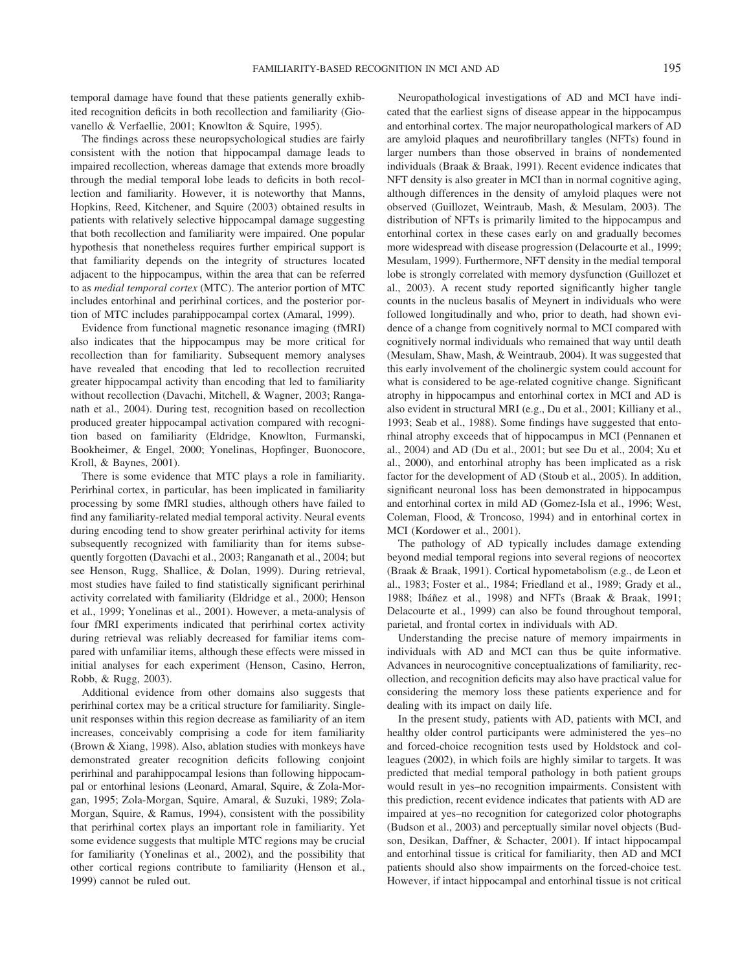temporal damage have found that these patients generally exhibited recognition deficits in both recollection and familiarity (Giovanello & Verfaellie, 2001; Knowlton & Squire, 1995).

The findings across these neuropsychological studies are fairly consistent with the notion that hippocampal damage leads to impaired recollection, whereas damage that extends more broadly through the medial temporal lobe leads to deficits in both recollection and familiarity. However, it is noteworthy that Manns, Hopkins, Reed, Kitchener, and Squire (2003) obtained results in patients with relatively selective hippocampal damage suggesting that both recollection and familiarity were impaired. One popular hypothesis that nonetheless requires further empirical support is that familiarity depends on the integrity of structures located adjacent to the hippocampus, within the area that can be referred to as *medial temporal cortex* (MTC). The anterior portion of MTC includes entorhinal and perirhinal cortices, and the posterior portion of MTC includes parahippocampal cortex (Amaral, 1999).

Evidence from functional magnetic resonance imaging (fMRI) also indicates that the hippocampus may be more critical for recollection than for familiarity. Subsequent memory analyses have revealed that encoding that led to recollection recruited greater hippocampal activity than encoding that led to familiarity without recollection (Davachi, Mitchell, & Wagner, 2003; Ranganath et al., 2004). During test, recognition based on recollection produced greater hippocampal activation compared with recognition based on familiarity (Eldridge, Knowlton, Furmanski, Bookheimer, & Engel, 2000; Yonelinas, Hopfinger, Buonocore, Kroll, & Baynes, 2001).

There is some evidence that MTC plays a role in familiarity. Perirhinal cortex, in particular, has been implicated in familiarity processing by some fMRI studies, although others have failed to find any familiarity-related medial temporal activity. Neural events during encoding tend to show greater perirhinal activity for items subsequently recognized with familiarity than for items subsequently forgotten (Davachi et al., 2003; Ranganath et al., 2004; but see Henson, Rugg, Shallice, & Dolan, 1999). During retrieval, most studies have failed to find statistically significant perirhinal activity correlated with familiarity (Eldridge et al., 2000; Henson et al., 1999; Yonelinas et al., 2001). However, a meta-analysis of four fMRI experiments indicated that perirhinal cortex activity during retrieval was reliably decreased for familiar items compared with unfamiliar items, although these effects were missed in initial analyses for each experiment (Henson, Casino, Herron, Robb, & Rugg, 2003).

Additional evidence from other domains also suggests that perirhinal cortex may be a critical structure for familiarity. Singleunit responses within this region decrease as familiarity of an item increases, conceivably comprising a code for item familiarity (Brown & Xiang, 1998). Also, ablation studies with monkeys have demonstrated greater recognition deficits following conjoint perirhinal and parahippocampal lesions than following hippocampal or entorhinal lesions (Leonard, Amaral, Squire, & Zola-Morgan, 1995; Zola-Morgan, Squire, Amaral, & Suzuki, 1989; Zola-Morgan, Squire, & Ramus, 1994), consistent with the possibility that perirhinal cortex plays an important role in familiarity. Yet some evidence suggests that multiple MTC regions may be crucial for familiarity (Yonelinas et al., 2002), and the possibility that other cortical regions contribute to familiarity (Henson et al., 1999) cannot be ruled out.

Neuropathological investigations of AD and MCI have indicated that the earliest signs of disease appear in the hippocampus and entorhinal cortex. The major neuropathological markers of AD are amyloid plaques and neurofibrillary tangles (NFTs) found in larger numbers than those observed in brains of nondemented individuals (Braak & Braak, 1991). Recent evidence indicates that NFT density is also greater in MCI than in normal cognitive aging, although differences in the density of amyloid plaques were not observed (Guillozet, Weintraub, Mash, & Mesulam, 2003). The distribution of NFTs is primarily limited to the hippocampus and entorhinal cortex in these cases early on and gradually becomes more widespread with disease progression (Delacourte et al., 1999; Mesulam, 1999). Furthermore, NFT density in the medial temporal lobe is strongly correlated with memory dysfunction (Guillozet et al., 2003). A recent study reported significantly higher tangle counts in the nucleus basalis of Meynert in individuals who were followed longitudinally and who, prior to death, had shown evidence of a change from cognitively normal to MCI compared with cognitively normal individuals who remained that way until death (Mesulam, Shaw, Mash, & Weintraub, 2004). It was suggested that this early involvement of the cholinergic system could account for what is considered to be age-related cognitive change. Significant atrophy in hippocampus and entorhinal cortex in MCI and AD is also evident in structural MRI (e.g., Du et al., 2001; Killiany et al., 1993; Seab et al., 1988). Some findings have suggested that entorhinal atrophy exceeds that of hippocampus in MCI (Pennanen et al., 2004) and AD (Du et al., 2001; but see Du et al., 2004; Xu et al., 2000), and entorhinal atrophy has been implicated as a risk factor for the development of AD (Stoub et al., 2005). In addition, significant neuronal loss has been demonstrated in hippocampus and entorhinal cortex in mild AD (Gomez-Isla et al., 1996; West, Coleman, Flood, & Troncoso, 1994) and in entorhinal cortex in MCI (Kordower et al., 2001).

The pathology of AD typically includes damage extending beyond medial temporal regions into several regions of neocortex (Braak & Braak, 1991). Cortical hypometabolism (e.g., de Leon et al., 1983; Foster et al., 1984; Friedland et al., 1989; Grady et al., 1988; Ibáñez et al., 1998) and NFTs (Braak & Braak, 1991; Delacourte et al., 1999) can also be found throughout temporal, parietal, and frontal cortex in individuals with AD.

Understanding the precise nature of memory impairments in individuals with AD and MCI can thus be quite informative. Advances in neurocognitive conceptualizations of familiarity, recollection, and recognition deficits may also have practical value for considering the memory loss these patients experience and for dealing with its impact on daily life.

In the present study, patients with AD, patients with MCI, and healthy older control participants were administered the yes–no and forced-choice recognition tests used by Holdstock and colleagues (2002), in which foils are highly similar to targets. It was predicted that medial temporal pathology in both patient groups would result in yes–no recognition impairments. Consistent with this prediction, recent evidence indicates that patients with AD are impaired at yes–no recognition for categorized color photographs (Budson et al., 2003) and perceptually similar novel objects (Budson, Desikan, Daffner, & Schacter, 2001). If intact hippocampal and entorhinal tissue is critical for familiarity, then AD and MCI patients should also show impairments on the forced-choice test. However, if intact hippocampal and entorhinal tissue is not critical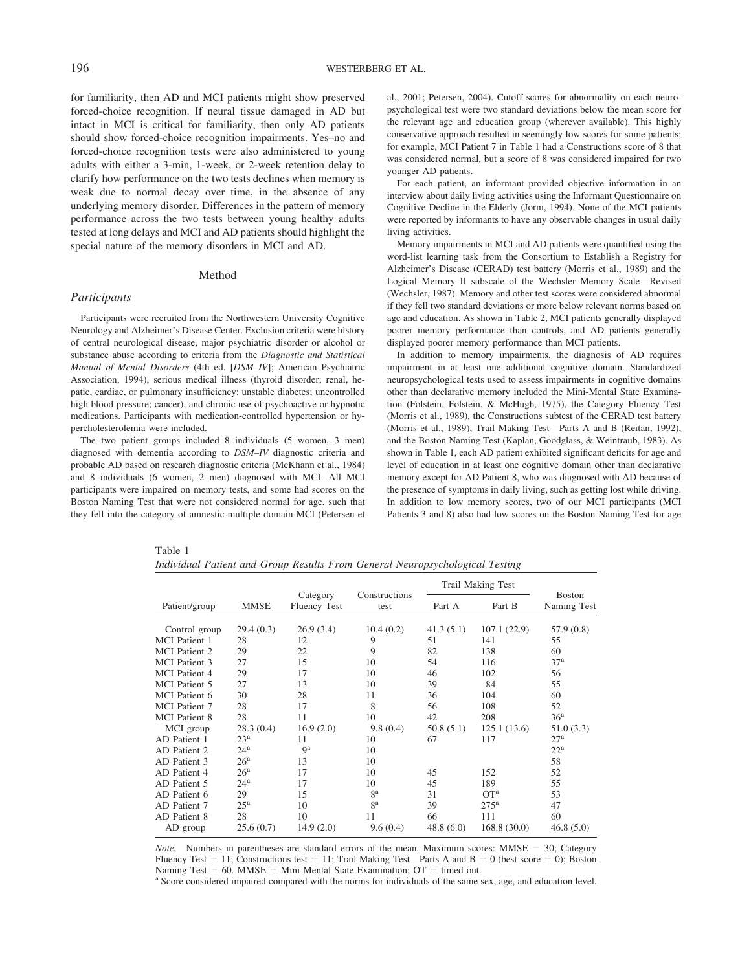for familiarity, then AD and MCI patients might show preserved forced-choice recognition. If neural tissue damaged in AD but intact in MCI is critical for familiarity, then only AD patients should show forced-choice recognition impairments. Yes–no and forced-choice recognition tests were also administered to young adults with either a 3-min, 1-week, or 2-week retention delay to clarify how performance on the two tests declines when memory is weak due to normal decay over time, in the absence of any underlying memory disorder. Differences in the pattern of memory performance across the two tests between young healthy adults tested at long delays and MCI and AD patients should highlight the special nature of the memory disorders in MCI and AD.

## Method

#### *Participants*

Participants were recruited from the Northwestern University Cognitive Neurology and Alzheimer's Disease Center. Exclusion criteria were history of central neurological disease, major psychiatric disorder or alcohol or substance abuse according to criteria from the *Diagnostic and Statistical Manual of Mental Disorders* (4th ed. [*DSM–IV*]; American Psychiatric Association, 1994), serious medical illness (thyroid disorder; renal, hepatic, cardiac, or pulmonary insufficiency; unstable diabetes; uncontrolled high blood pressure; cancer), and chronic use of psychoactive or hypnotic medications. Participants with medication-controlled hypertension or hypercholesterolemia were included.

The two patient groups included 8 individuals (5 women, 3 men) diagnosed with dementia according to *DSM–IV* diagnostic criteria and probable AD based on research diagnostic criteria (McKhann et al., 1984) and 8 individuals (6 women, 2 men) diagnosed with MCI. All MCI participants were impaired on memory tests, and some had scores on the Boston Naming Test that were not considered normal for age, such that they fell into the category of amnestic-multiple domain MCI (Petersen et

al., 2001; Petersen, 2004). Cutoff scores for abnormality on each neuropsychological test were two standard deviations below the mean score for the relevant age and education group (wherever available). This highly conservative approach resulted in seemingly low scores for some patients; for example, MCI Patient 7 in Table 1 had a Constructions score of 8 that was considered normal, but a score of 8 was considered impaired for two younger AD patients.

For each patient, an informant provided objective information in an interview about daily living activities using the Informant Questionnaire on Cognitive Decline in the Elderly (Jorm, 1994). None of the MCI patients were reported by informants to have any observable changes in usual daily living activities.

Memory impairments in MCI and AD patients were quantified using the word-list learning task from the Consortium to Establish a Registry for Alzheimer's Disease (CERAD) test battery (Morris et al., 1989) and the Logical Memory II subscale of the Wechsler Memory Scale—Revised (Wechsler, 1987). Memory and other test scores were considered abnormal if they fell two standard deviations or more below relevant norms based on age and education. As shown in Table 2, MCI patients generally displayed poorer memory performance than controls, and AD patients generally displayed poorer memory performance than MCI patients.

In addition to memory impairments, the diagnosis of AD requires impairment in at least one additional cognitive domain. Standardized neuropsychological tests used to assess impairments in cognitive domains other than declarative memory included the Mini-Mental State Examination (Folstein, Folstein, & McHugh, 1975), the Category Fluency Test (Morris et al., 1989), the Constructions subtest of the CERAD test battery (Morris et al., 1989), Trail Making Test—Parts A and B (Reitan, 1992), and the Boston Naming Test (Kaplan, Goodglass, & Weintraub, 1983). As shown in Table 1, each AD patient exhibited significant deficits for age and level of education in at least one cognitive domain other than declarative memory except for AD Patient 8, who was diagnosed with AD because of the presence of symptoms in daily living, such as getting lost while driving. In addition to low memory scores, two of our MCI participants (MCI Patients 3 and 8) also had low scores on the Boston Naming Test for age

### Table 1

| Individual Patient and Group Results From General Neuropsychological Testing |  |  |  |  |
|------------------------------------------------------------------------------|--|--|--|--|
|------------------------------------------------------------------------------|--|--|--|--|

|                      |                 |                                 |                       | Trail Making Test |                 |                              |
|----------------------|-----------------|---------------------------------|-----------------------|-------------------|-----------------|------------------------------|
| Patient/group        | MMSE            | Category<br><b>Fluency Test</b> | Constructions<br>test | Part A            | Part B          | <b>Boston</b><br>Naming Test |
| Control group        | 29.4(0.3)       | 26.9(3.4)                       | 10.4(0.2)             | 41.3(5.1)         | 107.1(22.9)     | 57.9 (0.8)                   |
| MCI Patient 1        | 28              | 12                              | 9                     | 51                | 141             | 55                           |
| <b>MCI</b> Patient 2 | 29              | 22                              | 9                     | 82                | 138             | 60                           |
| <b>MCI</b> Patient 3 | 27              | 15                              | 10                    | 54                | 116             | 37 <sup>a</sup>              |
| <b>MCI</b> Patient 4 | 29              | 17                              | 10                    | 46                | 102             | 56                           |
| <b>MCI</b> Patient 5 | 27              | 13                              | 10                    | 39                | 84              | 55                           |
| MCI Patient 6        | 30              | 28                              | 11                    | 36                | 104             | 60                           |
| <b>MCI</b> Patient 7 | 28              | 17                              | 8                     | 56                | 108             | 52                           |
| <b>MCI</b> Patient 8 | 28              | 11                              | 10                    | 42                | 208             | 36 <sup>a</sup>              |
| MCI group            | 28.3(0.4)       | 16.9(2.0)                       | 9.8(0.4)              | 50.8(5.1)         | 125.1(13.6)     | 51.0 (3.3)                   |
| AD Patient 1         | 23 <sup>a</sup> | 11                              | 10                    | 67                | 117             | 27 <sup>a</sup>              |
| AD Patient 2         | $24^{\rm a}$    | $\mathbf{Q}^{\mathbf{a}}$       | 10                    |                   |                 | $22^{\rm a}$                 |
| AD Patient 3         | $26^{\rm a}$    | 13                              | 10                    |                   |                 | 58                           |
| AD Patient 4         | $26^{\rm a}$    | 17                              | 10                    | 45                | 152             | 52                           |
| AD Patient 5         | $24^{\rm a}$    | 17                              | 10                    | 45                | 189             | 55                           |
| AD Patient 6         | 29              | 15                              | 8 <sup>a</sup>        | 31                | OT <sup>a</sup> | 53                           |
| AD Patient 7         | $25^{\rm a}$    | 10                              | 8 <sup>a</sup>        | 39                | $275^{\rm a}$   | 47                           |
| AD Patient 8         | 28              | 10                              | 11                    | 66                | 111             | 60                           |
| AD group             | 25.6(0.7)       | 14.9(2.0)                       | 9.6(0.4)              | 48.8(6.0)         | 168.8 (30.0)    | 46.8(5.0)                    |

*Note.* Numbers in parentheses are standard errors of the mean. Maximum scores:  $MMSE = 30$ ; Category Fluency Test = 11; Constructions test = 11; Trail Making Test—Parts A and  $B = 0$  (best score = 0); Boston Naming Test = 60. MMSE = Mini-Mental State Examination; OT = timed out.

<sup>a</sup> Score considered impaired compared with the norms for individuals of the same sex, age, and education level.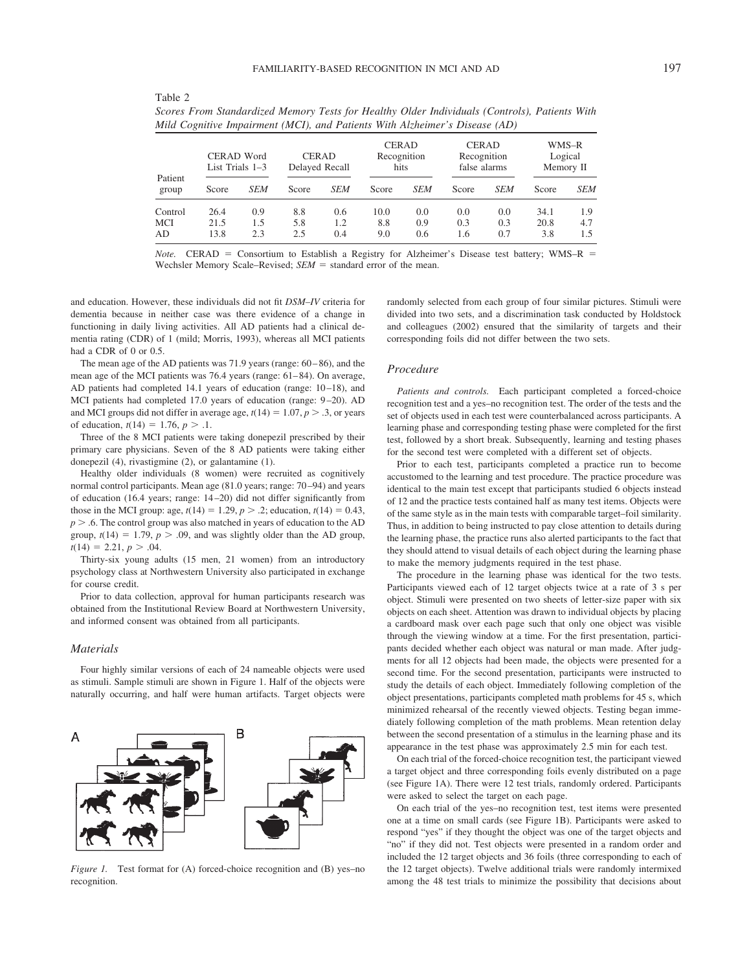|            | $\cdots$                        |     |                                |     |                                     |     |                                             |     |                               |            |
|------------|---------------------------------|-----|--------------------------------|-----|-------------------------------------|-----|---------------------------------------------|-----|-------------------------------|------------|
| Patient    | CERAD Word<br>List Trials $1-3$ |     | <b>CERAD</b><br>Delayed Recall |     | <b>CERAD</b><br>Recognition<br>hits |     | <b>CERAD</b><br>Recognition<br>false alarms |     | WMS-R<br>Logical<br>Memory II |            |
| group      | Score                           | SEM | Score                          | SEM | Score                               | SEM | Score                                       | SEM | Score                         | <b>SEM</b> |
| Control    | 26.4                            | 0.9 | 8.8                            | 0.6 | 10.0                                | 0.0 | 0.0                                         | 0.0 | 34.1                          | 1.9        |
| <b>MCI</b> | 21.5                            | 1.5 | 5.8                            | 1.2 | 8.8                                 | 0.9 | 0.3                                         | 0.3 | 20.8                          | 4.7        |
| AD         | 13.8                            | 2.3 | 2.5                            | 0.4 | 9.0                                 | 0.6 | 1.6                                         | 0.7 | 3.8                           | 1.5        |

*Scores From Standardized Memory Tests for Healthy Older Individuals (Controls), Patients With Mild Cognitive Impairment (MCI), and Patients With Alzheimer's Disease (AD)*

*Note.* CERAD = Consortium to Establish a Registry for Alzheimer's Disease test battery; WMS-R = Wechsler Memory Scale–Revised; *SEM* = standard error of the mean.

and education. However, these individuals did not fit *DSM–IV* criteria for dementia because in neither case was there evidence of a change in functioning in daily living activities. All AD patients had a clinical dementia rating (CDR) of 1 (mild; Morris, 1993), whereas all MCI patients had a CDR of 0 or 0.5.

Table 2

The mean age of the AD patients was 71.9 years (range: 60–86), and the mean age of the MCI patients was 76.4 years (range: 61–84). On average, AD patients had completed 14.1 years of education (range: 10–18), and MCI patients had completed 17.0 years of education (range: 9–20). AD and MCI groups did not differ in average age,  $t(14) = 1.07, p > .3$ , or years of education,  $t(14) = 1.76$ ,  $p > .1$ .

Three of the 8 MCI patients were taking donepezil prescribed by their primary care physicians. Seven of the 8 AD patients were taking either donepezil (4), rivastigmine (2), or galantamine (1).

Healthy older individuals (8 women) were recruited as cognitively normal control participants. Mean age (81.0 years; range: 70–94) and years of education (16.4 years; range: 14–20) did not differ significantly from those in the MCI group: age,  $t(14) = 1.29$ ,  $p > .2$ ; education,  $t(14) = 0.43$ ,  $p > 0.6$ . The control group was also matched in years of education to the AD group,  $t(14) = 1.79$ ,  $p > .09$ , and was slightly older than the AD group,  $t(14) = 2.21, p > .04.$ 

Thirty-six young adults (15 men, 21 women) from an introductory psychology class at Northwestern University also participated in exchange for course credit.

Prior to data collection, approval for human participants research was obtained from the Institutional Review Board at Northwestern University, and informed consent was obtained from all participants.

## *Materials*

Four highly similar versions of each of 24 nameable objects were used as stimuli. Sample stimuli are shown in Figure 1. Half of the objects were naturally occurring, and half were human artifacts. Target objects were



*Figure 1.* Test format for (A) forced-choice recognition and (B) yes–no recognition.

randomly selected from each group of four similar pictures. Stimuli were divided into two sets, and a discrimination task conducted by Holdstock and colleagues (2002) ensured that the similarity of targets and their corresponding foils did not differ between the two sets.

### *Procedure*

*Patients and controls.* Each participant completed a forced-choice recognition test and a yes–no recognition test. The order of the tests and the set of objects used in each test were counterbalanced across participants. A learning phase and corresponding testing phase were completed for the first test, followed by a short break. Subsequently, learning and testing phases for the second test were completed with a different set of objects.

Prior to each test, participants completed a practice run to become accustomed to the learning and test procedure. The practice procedure was identical to the main test except that participants studied 6 objects instead of 12 and the practice tests contained half as many test items. Objects were of the same style as in the main tests with comparable target–foil similarity. Thus, in addition to being instructed to pay close attention to details during the learning phase, the practice runs also alerted participants to the fact that they should attend to visual details of each object during the learning phase to make the memory judgments required in the test phase.

The procedure in the learning phase was identical for the two tests. Participants viewed each of 12 target objects twice at a rate of 3 s per object. Stimuli were presented on two sheets of letter-size paper with six objects on each sheet. Attention was drawn to individual objects by placing a cardboard mask over each page such that only one object was visible through the viewing window at a time. For the first presentation, participants decided whether each object was natural or man made. After judgments for all 12 objects had been made, the objects were presented for a second time. For the second presentation, participants were instructed to study the details of each object. Immediately following completion of the object presentations, participants completed math problems for 45 s, which minimized rehearsal of the recently viewed objects. Testing began immediately following completion of the math problems. Mean retention delay between the second presentation of a stimulus in the learning phase and its appearance in the test phase was approximately 2.5 min for each test.

On each trial of the forced-choice recognition test, the participant viewed a target object and three corresponding foils evenly distributed on a page (see Figure 1A). There were 12 test trials, randomly ordered. Participants were asked to select the target on each page.

On each trial of the yes–no recognition test, test items were presented one at a time on small cards (see Figure 1B). Participants were asked to respond "yes" if they thought the object was one of the target objects and "no" if they did not. Test objects were presented in a random order and included the 12 target objects and 36 foils (three corresponding to each of the 12 target objects). Twelve additional trials were randomly intermixed among the 48 test trials to minimize the possibility that decisions about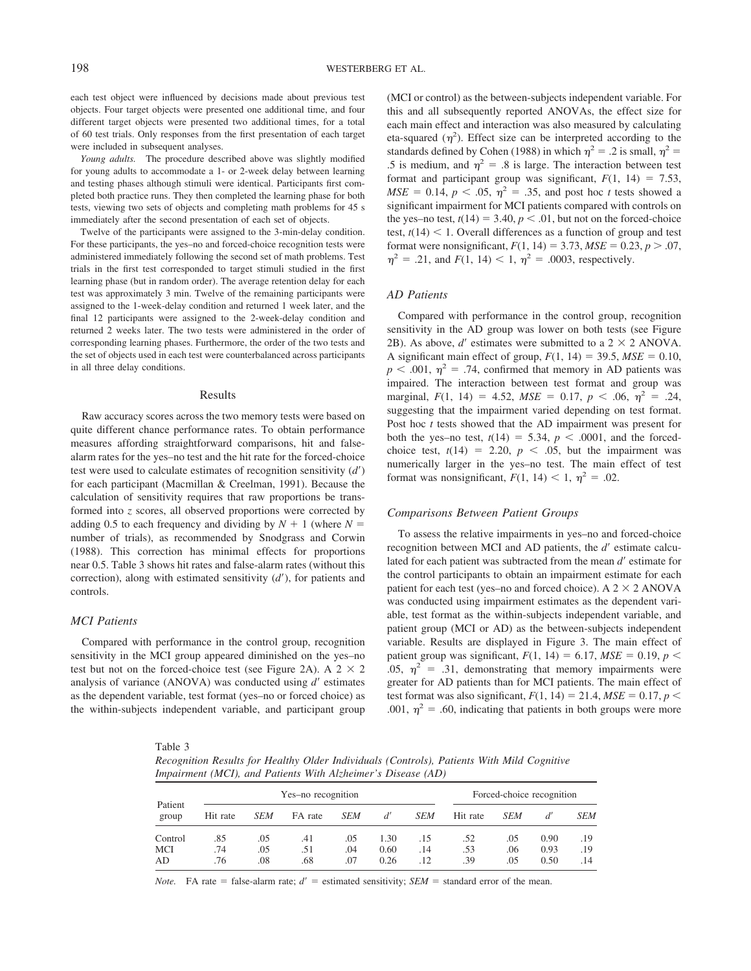each test object were influenced by decisions made about previous test objects. Four target objects were presented one additional time, and four different target objects were presented two additional times, for a total of 60 test trials. Only responses from the first presentation of each target were included in subsequent analyses.

*Young adults.* The procedure described above was slightly modified for young adults to accommodate a 1- or 2-week delay between learning and testing phases although stimuli were identical. Participants first completed both practice runs. They then completed the learning phase for both tests, viewing two sets of objects and completing math problems for 45 s immediately after the second presentation of each set of objects.

Twelve of the participants were assigned to the 3-min-delay condition. For these participants, the yes–no and forced-choice recognition tests were administered immediately following the second set of math problems. Test trials in the first test corresponded to target stimuli studied in the first learning phase (but in random order). The average retention delay for each test was approximately 3 min. Twelve of the remaining participants were assigned to the 1-week-delay condition and returned 1 week later, and the final 12 participants were assigned to the 2-week-delay condition and returned 2 weeks later. The two tests were administered in the order of corresponding learning phases. Furthermore, the order of the two tests and the set of objects used in each test were counterbalanced across participants in all three delay conditions.

#### Results

Raw accuracy scores across the two memory tests were based on quite different chance performance rates. To obtain performance measures affording straightforward comparisons, hit and falsealarm rates for the yes–no test and the hit rate for the forced-choice test were used to calculate estimates of recognition sensitivity  $(d')$ for each participant (Macmillan & Creelman, 1991). Because the calculation of sensitivity requires that raw proportions be transformed into *z* scores, all observed proportions were corrected by adding 0.5 to each frequency and dividing by  $N + 1$  (where  $N =$ number of trials), as recommended by Snodgrass and Corwin (1988). This correction has minimal effects for proportions near 0.5. Table 3 shows hit rates and false-alarm rates (without this correction), along with estimated sensitivity (d'), for patients and controls.

#### *MCI Patients*

Compared with performance in the control group, recognition sensitivity in the MCI group appeared diminished on the yes–no test but not on the forced-choice test (see Figure 2A). A  $2 \times 2$ analysis of variance (ANOVA) was conducted using *d'* estimates as the dependent variable, test format (yes–no or forced choice) as the within-subjects independent variable, and participant group

(MCI or control) as the between-subjects independent variable. For this and all subsequently reported ANOVAs, the effect size for each main effect and interaction was also measured by calculating eta-squared  $(\eta^2)$ . Effect size can be interpreted according to the standards defined by Cohen (1988) in which  $\eta^2 = .2$  is small,  $\eta^2 =$ .5 is medium, and  $\eta^2 = .8$  is large. The interaction between test format and participant group was significant,  $F(1, 14) = 7.53$ ,  $MSE = 0.14$ ,  $p < .05$ ,  $\eta^2 = .35$ , and post hoc *t* tests showed a significant impairment for MCI patients compared with controls on the yes–no test,  $t(14) = 3.40, p < .01$ , but not on the forced-choice test,  $t(14)$  < 1. Overall differences as a function of group and test format were nonsignificant,  $F(1, 14) = 3.73$ ,  $MSE = 0.23$ ,  $p > .07$ ,  $\eta^2$  = .21, and *F*(1, 14) < 1,  $\eta^2$  = .0003, respectively.

## *AD Patients*

Compared with performance in the control group, recognition sensitivity in the AD group was lower on both tests (see Figure 2B). As above,  $d'$  estimates were submitted to a  $2 \times 2$  ANOVA. A significant main effect of group,  $F(1, 14) = 39.5$ ,  $MSE = 0.10$ ,  $p < .001$ ,  $\eta^2 = .74$ , confirmed that memory in AD patients was impaired. The interaction between test format and group was marginal,  $F(1, 14) = 4.52$ ,  $MSE = 0.17$ ,  $p < .06$ ,  $\eta^2 = .24$ , suggesting that the impairment varied depending on test format. Post hoc *t* tests showed that the AD impairment was present for both the yes–no test,  $t(14) = 5.34$ ,  $p < .0001$ , and the forcedchoice test,  $t(14) = 2.20$ ,  $p < .05$ , but the impairment was numerically larger in the yes–no test. The main effect of test format was nonsignificant,  $F(1, 14) < 1$ ,  $\eta^2 = .02$ .

## *Comparisons Between Patient Groups*

To assess the relative impairments in yes–no and forced-choice recognition between MCI and AD patients, the *d'* estimate calculated for each patient was subtracted from the mean *d'* estimate for the control participants to obtain an impairment estimate for each patient for each test (yes–no and forced choice). A  $2 \times 2$  ANOVA was conducted using impairment estimates as the dependent variable, test format as the within-subjects independent variable, and patient group (MCI or AD) as the between-subjects independent variable. Results are displayed in Figure 3. The main effect of patient group was significant,  $F(1, 14) = 6.17$ ,  $MSE = 0.19$ ,  $p <$ .05,  $\eta^2$  = .31, demonstrating that memory impairments were greater for AD patients than for MCI patients. The main effect of test format was also significant,  $F(1, 14) = 21.4$ ,  $MSE = 0.17$ ,  $p <$ .001,  $\eta^2$  = .60, indicating that patients in both groups were more

Table 3

*Recognition Results for Healthy Older Individuals (Controls), Patients With Mild Cognitive Impairment (MCI), and Patients With Alzheimer's Disease (AD)*

|                  | Yes-no recognition |     |         |     |      |     | Forced-choice recognition |     |      |     |
|------------------|--------------------|-----|---------|-----|------|-----|---------------------------|-----|------|-----|
| Patient<br>group | Hit rate           | SEM | FA rate | SEM |      | SEM | Hit rate                  | SEM |      | SEM |
| Control          | .85                | .05 | .41     | .05 | 1.30 | .15 | .52                       | .05 | 0.90 | .19 |
| MCI              | .74                | .05 | .51     | .04 | 0.60 | .14 | .53                       | .06 | 0.93 | .19 |
| AD               | .76                | .08 | .68     | .07 | 0.26 | .12 | .39                       | .05 | 0.50 | .14 |

*Note.* FA rate = false-alarm rate;  $d'$  = estimated sensitivity; *SEM* = standard error of the mean.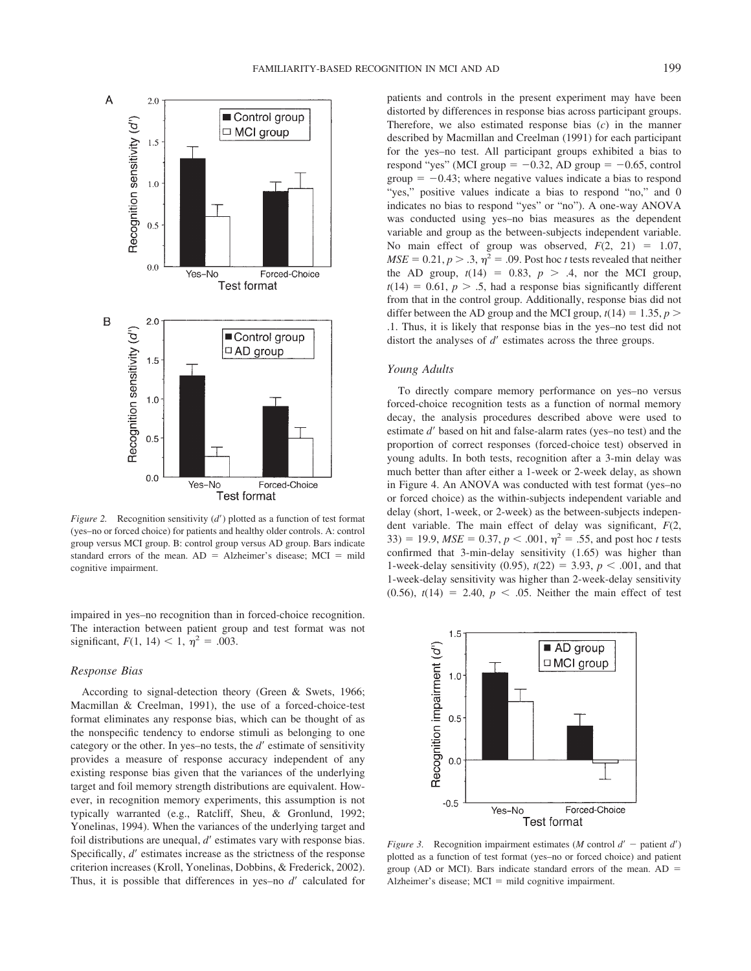

*Figure* 2. Recognition sensitivity (*d'*) plotted as a function of test format (yes–no or forced choice) for patients and healthy older controls. A: control group versus MCI group. B: control group versus AD group. Bars indicate standard errors of the mean.  $AD = Alzheimer's$  disease;  $MCI = mild$ cognitive impairment.

impaired in yes–no recognition than in forced-choice recognition. The interaction between patient group and test format was not significant,  $F(1, 14) < 1$ ,  $\eta^2 = .003$ .

#### *Response Bias*

According to signal-detection theory (Green & Swets, 1966; Macmillan & Creelman, 1991), the use of a forced-choice-test format eliminates any response bias, which can be thought of as the nonspecific tendency to endorse stimuli as belonging to one category or the other. In yes–no tests, the *d'* estimate of sensitivity provides a measure of response accuracy independent of any existing response bias given that the variances of the underlying target and foil memory strength distributions are equivalent. However, in recognition memory experiments, this assumption is not typically warranted (e.g., Ratcliff, Sheu, & Gronlund, 1992; Yonelinas, 1994). When the variances of the underlying target and foil distributions are unequal,  $d'$  estimates vary with response bias. Specifically, *d'* estimates increase as the strictness of the response criterion increases (Kroll, Yonelinas, Dobbins, & Frederick, 2002). Thus, it is possible that differences in yes–no *d'* calculated for

patients and controls in the present experiment may have been distorted by differences in response bias across participant groups. Therefore, we also estimated response bias (*c*) in the manner described by Macmillan and Creelman (1991) for each participant for the yes–no test. All participant groups exhibited a bias to respond "yes" (MCI group  $= -0.32$ , AD group  $= -0.65$ , control  $group = -0.43$ ; where negative values indicate a bias to respond "yes," positive values indicate a bias to respond "no," and 0 indicates no bias to respond "yes" or "no"). A one-way ANOVA was conducted using yes–no bias measures as the dependent variable and group as the between-subjects independent variable. No main effect of group was observed,  $F(2, 21) = 1.07$ ,  $MSE = 0.21, p > .3, \eta^2 = .09$ . Post hoc *t* tests revealed that neither the AD group,  $t(14) = 0.83$ ,  $p > .4$ , nor the MCI group,  $t(14) = 0.61$ ,  $p > .5$ , had a response bias significantly different from that in the control group. Additionally, response bias did not differ between the AD group and the MCI group,  $t(14) = 1.35$ ,  $p >$ .1. Thus, it is likely that response bias in the yes–no test did not distort the analyses of *d'* estimates across the three groups.

## *Young Adults*

To directly compare memory performance on yes–no versus forced-choice recognition tests as a function of normal memory decay, the analysis procedures described above were used to estimate *d'* based on hit and false-alarm rates (yes–no test) and the proportion of correct responses (forced-choice test) observed in young adults. In both tests, recognition after a 3-min delay was much better than after either a 1-week or 2-week delay, as shown in Figure 4. An ANOVA was conducted with test format (yes–no or forced choice) as the within-subjects independent variable and delay (short, 1-week, or 2-week) as the between-subjects independent variable. The main effect of delay was significant, *F*(2, 33) = 19.9,  $MSE = 0.37$ ,  $p < .001$ ,  $\eta^2 = .55$ , and post hoc *t* tests confirmed that 3-min-delay sensitivity (1.65) was higher than 1-week-delay sensitivity (0.95),  $t(22) = 3.93$ ,  $p < .001$ , and that 1-week-delay sensitivity was higher than 2-week-delay sensitivity (0.56),  $t(14) = 2.40, p < .05$ . Neither the main effect of test



*Figure* 3. Recognition impairment estimates (*M* control  $d'$  - patient  $d'$ ) plotted as a function of test format (yes–no or forced choice) and patient group (AD or MCI). Bars indicate standard errors of the mean.  $AD =$ Alzheimer's disease;  $MCI =$  mild cognitive impairment.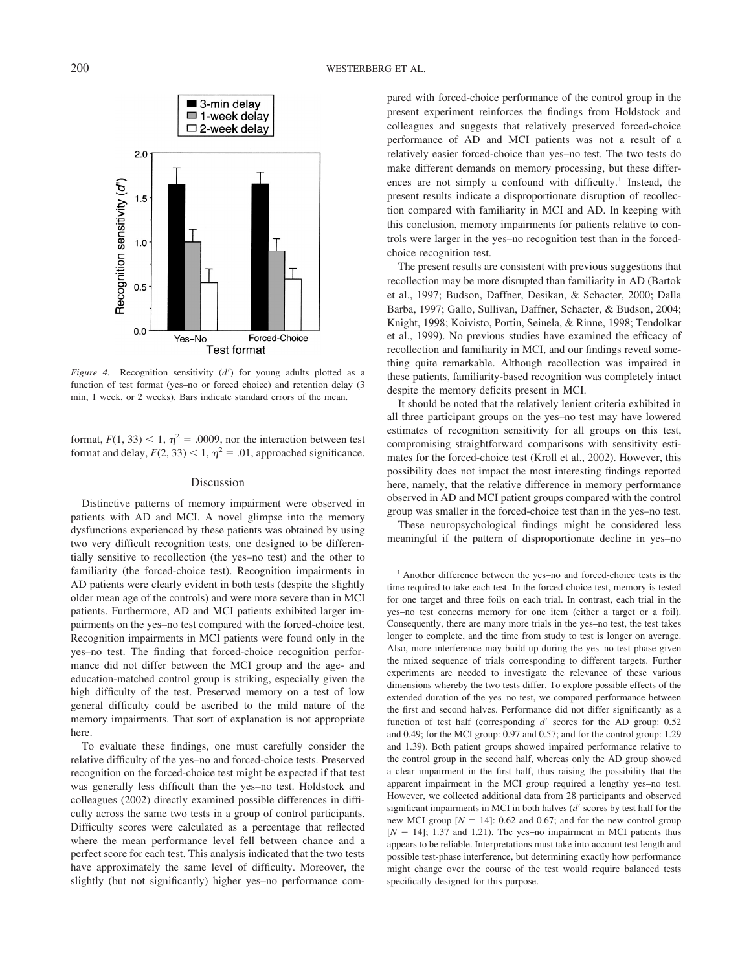

*Figure* 4. Recognition sensitivity  $(d')$  for young adults plotted as a function of test format (yes–no or forced choice) and retention delay (3 min, 1 week, or 2 weeks). Bars indicate standard errors of the mean.

format,  $F(1, 33) < 1$ ,  $\eta^2 = .0009$ , nor the interaction between test format and delay,  $F(2, 33) < 1$ ,  $\eta^2 = .01$ , approached significance.

#### Discussion

Distinctive patterns of memory impairment were observed in patients with AD and MCI. A novel glimpse into the memory dysfunctions experienced by these patients was obtained by using two very difficult recognition tests, one designed to be differentially sensitive to recollection (the yes–no test) and the other to familiarity (the forced-choice test). Recognition impairments in AD patients were clearly evident in both tests (despite the slightly older mean age of the controls) and were more severe than in MCI patients. Furthermore, AD and MCI patients exhibited larger impairments on the yes–no test compared with the forced-choice test. Recognition impairments in MCI patients were found only in the yes–no test. The finding that forced-choice recognition performance did not differ between the MCI group and the age- and education-matched control group is striking, especially given the high difficulty of the test. Preserved memory on a test of low general difficulty could be ascribed to the mild nature of the memory impairments. That sort of explanation is not appropriate here.

To evaluate these findings, one must carefully consider the relative difficulty of the yes–no and forced-choice tests. Preserved recognition on the forced-choice test might be expected if that test was generally less difficult than the yes–no test. Holdstock and colleagues (2002) directly examined possible differences in difficulty across the same two tests in a group of control participants. Difficulty scores were calculated as a percentage that reflected where the mean performance level fell between chance and a perfect score for each test. This analysis indicated that the two tests have approximately the same level of difficulty. Moreover, the slightly (but not significantly) higher yes–no performance com-

pared with forced-choice performance of the control group in the present experiment reinforces the findings from Holdstock and colleagues and suggests that relatively preserved forced-choice performance of AD and MCI patients was not a result of a relatively easier forced-choice than yes–no test. The two tests do make different demands on memory processing, but these differences are not simply a confound with difficulty.<sup>1</sup> Instead, the present results indicate a disproportionate disruption of recollection compared with familiarity in MCI and AD. In keeping with this conclusion, memory impairments for patients relative to controls were larger in the yes–no recognition test than in the forcedchoice recognition test.

The present results are consistent with previous suggestions that recollection may be more disrupted than familiarity in AD (Bartok et al., 1997; Budson, Daffner, Desikan, & Schacter, 2000; Dalla Barba, 1997; Gallo, Sullivan, Daffner, Schacter, & Budson, 2004; Knight, 1998; Koivisto, Portin, Seinela, & Rinne, 1998; Tendolkar et al., 1999). No previous studies have examined the efficacy of recollection and familiarity in MCI, and our findings reveal something quite remarkable. Although recollection was impaired in these patients, familiarity-based recognition was completely intact despite the memory deficits present in MCI.

It should be noted that the relatively lenient criteria exhibited in all three participant groups on the yes–no test may have lowered estimates of recognition sensitivity for all groups on this test, compromising straightforward comparisons with sensitivity estimates for the forced-choice test (Kroll et al., 2002). However, this possibility does not impact the most interesting findings reported here, namely, that the relative difference in memory performance observed in AD and MCI patient groups compared with the control group was smaller in the forced-choice test than in the yes–no test.

These neuropsychological findings might be considered less meaningful if the pattern of disproportionate decline in yes–no

<sup>1</sup> Another difference between the yes–no and forced-choice tests is the time required to take each test. In the forced-choice test, memory is tested for one target and three foils on each trial. In contrast, each trial in the yes–no test concerns memory for one item (either a target or a foil). Consequently, there are many more trials in the yes–no test, the test takes longer to complete, and the time from study to test is longer on average. Also, more interference may build up during the yes–no test phase given the mixed sequence of trials corresponding to different targets. Further experiments are needed to investigate the relevance of these various dimensions whereby the two tests differ. To explore possible effects of the extended duration of the yes–no test, we compared performance between the first and second halves. Performance did not differ significantly as a function of test half (corresponding  $d'$  scores for the AD group:  $0.52$ and 0.49; for the MCI group: 0.97 and 0.57; and for the control group: 1.29 and 1.39). Both patient groups showed impaired performance relative to the control group in the second half, whereas only the AD group showed a clear impairment in the first half, thus raising the possibility that the apparent impairment in the MCI group required a lengthy yes–no test. However, we collected additional data from 28 participants and observed significant impairments in MCI in both halves (d' scores by test half for the new MCI group  $[N = 14]$ : 0.62 and 0.67; and for the new control group  $[N = 14]$ ; 1.37 and 1.21). The yes–no impairment in MCI patients thus appears to be reliable. Interpretations must take into account test length and possible test-phase interference, but determining exactly how performance might change over the course of the test would require balanced tests specifically designed for this purpose.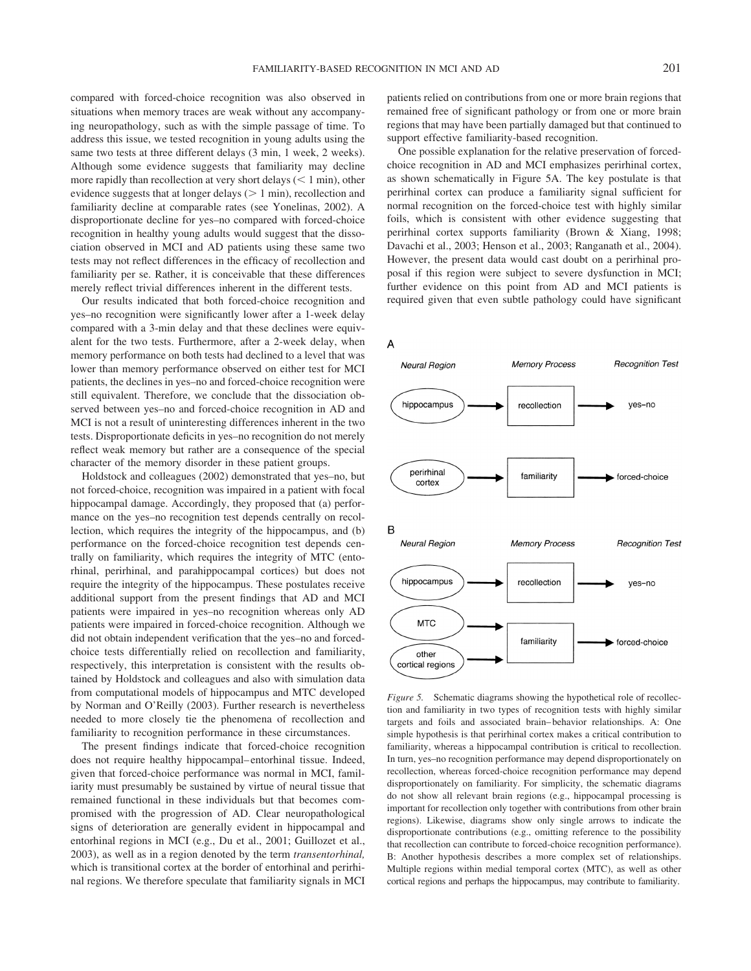compared with forced-choice recognition was also observed in situations when memory traces are weak without any accompanying neuropathology, such as with the simple passage of time. To address this issue, we tested recognition in young adults using the same two tests at three different delays (3 min, 1 week, 2 weeks). Although some evidence suggests that familiarity may decline more rapidly than recollection at very short delays  $(< 1$  min), other evidence suggests that at longer delays  $(> 1 \text{ min})$ , recollection and familiarity decline at comparable rates (see Yonelinas, 2002). A disproportionate decline for yes–no compared with forced-choice recognition in healthy young adults would suggest that the dissociation observed in MCI and AD patients using these same two tests may not reflect differences in the efficacy of recollection and familiarity per se. Rather, it is conceivable that these differences merely reflect trivial differences inherent in the different tests.

Our results indicated that both forced-choice recognition and yes–no recognition were significantly lower after a 1-week delay compared with a 3-min delay and that these declines were equivalent for the two tests. Furthermore, after a 2-week delay, when memory performance on both tests had declined to a level that was lower than memory performance observed on either test for MCI patients, the declines in yes–no and forced-choice recognition were still equivalent. Therefore, we conclude that the dissociation observed between yes–no and forced-choice recognition in AD and MCI is not a result of uninteresting differences inherent in the two tests. Disproportionate deficits in yes–no recognition do not merely reflect weak memory but rather are a consequence of the special character of the memory disorder in these patient groups.

Holdstock and colleagues (2002) demonstrated that yes–no, but not forced-choice, recognition was impaired in a patient with focal hippocampal damage. Accordingly, they proposed that (a) performance on the yes–no recognition test depends centrally on recollection, which requires the integrity of the hippocampus, and (b) performance on the forced-choice recognition test depends centrally on familiarity, which requires the integrity of MTC (entorhinal, perirhinal, and parahippocampal cortices) but does not require the integrity of the hippocampus. These postulates receive additional support from the present findings that AD and MCI patients were impaired in yes–no recognition whereas only AD patients were impaired in forced-choice recognition. Although we did not obtain independent verification that the yes–no and forcedchoice tests differentially relied on recollection and familiarity, respectively, this interpretation is consistent with the results obtained by Holdstock and colleagues and also with simulation data from computational models of hippocampus and MTC developed by Norman and O'Reilly (2003). Further research is nevertheless needed to more closely tie the phenomena of recollection and familiarity to recognition performance in these circumstances.

The present findings indicate that forced-choice recognition does not require healthy hippocampal–entorhinal tissue. Indeed, given that forced-choice performance was normal in MCI, familiarity must presumably be sustained by virtue of neural tissue that remained functional in these individuals but that becomes compromised with the progression of AD. Clear neuropathological signs of deterioration are generally evident in hippocampal and entorhinal regions in MCI (e.g., Du et al., 2001; Guillozet et al., 2003), as well as in a region denoted by the term *transentorhinal,* which is transitional cortex at the border of entorhinal and perirhinal regions. We therefore speculate that familiarity signals in MCI patients relied on contributions from one or more brain regions that remained free of significant pathology or from one or more brain regions that may have been partially damaged but that continued to support effective familiarity-based recognition.

One possible explanation for the relative preservation of forcedchoice recognition in AD and MCI emphasizes perirhinal cortex, as shown schematically in Figure 5A. The key postulate is that perirhinal cortex can produce a familiarity signal sufficient for normal recognition on the forced-choice test with highly similar foils, which is consistent with other evidence suggesting that perirhinal cortex supports familiarity (Brown & Xiang, 1998; Davachi et al., 2003; Henson et al., 2003; Ranganath et al., 2004). However, the present data would cast doubt on a perirhinal proposal if this region were subject to severe dysfunction in MCI; further evidence on this point from AD and MCI patients is required given that even subtle pathology could have significant



*Figure 5.* Schematic diagrams showing the hypothetical role of recollection and familiarity in two types of recognition tests with highly similar targets and foils and associated brain–behavior relationships. A: One simple hypothesis is that perirhinal cortex makes a critical contribution to familiarity, whereas a hippocampal contribution is critical to recollection. In turn, yes–no recognition performance may depend disproportionately on recollection, whereas forced-choice recognition performance may depend disproportionately on familiarity. For simplicity, the schematic diagrams do not show all relevant brain regions (e.g., hippocampal processing is important for recollection only together with contributions from other brain regions). Likewise, diagrams show only single arrows to indicate the disproportionate contributions (e.g., omitting reference to the possibility that recollection can contribute to forced-choice recognition performance). B: Another hypothesis describes a more complex set of relationships. Multiple regions within medial temporal cortex (MTC), as well as other cortical regions and perhaps the hippocampus, may contribute to familiarity.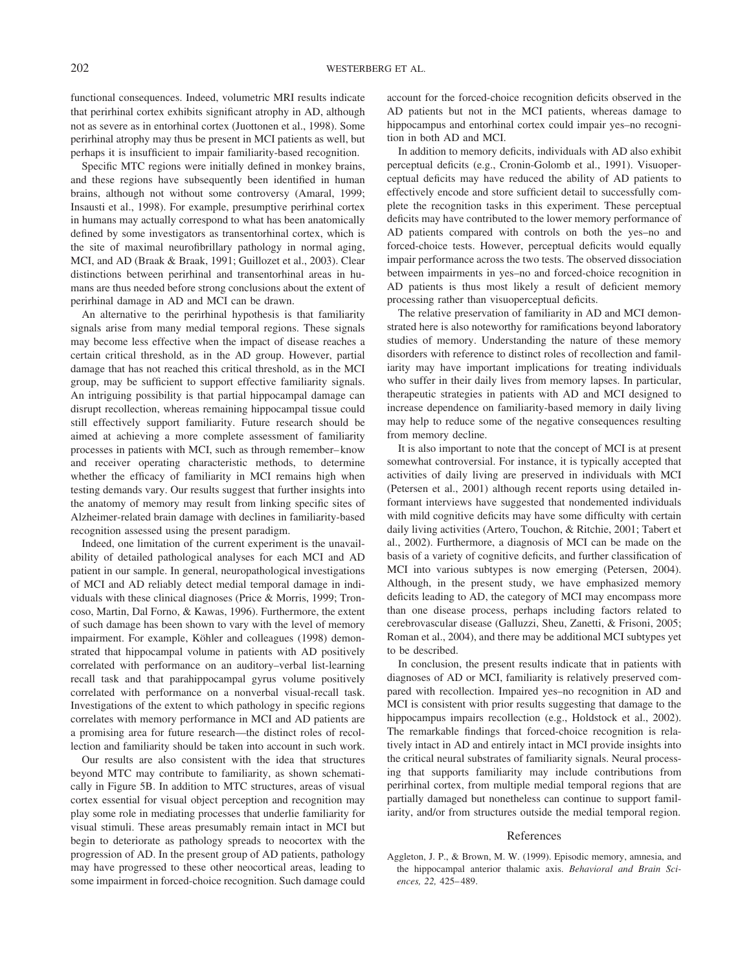functional consequences. Indeed, volumetric MRI results indicate that perirhinal cortex exhibits significant atrophy in AD, although not as severe as in entorhinal cortex (Juottonen et al., 1998). Some perirhinal atrophy may thus be present in MCI patients as well, but perhaps it is insufficient to impair familiarity-based recognition.

Specific MTC regions were initially defined in monkey brains, and these regions have subsequently been identified in human brains, although not without some controversy (Amaral, 1999; Insausti et al., 1998). For example, presumptive perirhinal cortex in humans may actually correspond to what has been anatomically defined by some investigators as transentorhinal cortex, which is the site of maximal neurofibrillary pathology in normal aging, MCI, and AD (Braak & Braak, 1991; Guillozet et al., 2003). Clear distinctions between perirhinal and transentorhinal areas in humans are thus needed before strong conclusions about the extent of perirhinal damage in AD and MCI can be drawn.

An alternative to the perirhinal hypothesis is that familiarity signals arise from many medial temporal regions. These signals may become less effective when the impact of disease reaches a certain critical threshold, as in the AD group. However, partial damage that has not reached this critical threshold, as in the MCI group, may be sufficient to support effective familiarity signals. An intriguing possibility is that partial hippocampal damage can disrupt recollection, whereas remaining hippocampal tissue could still effectively support familiarity. Future research should be aimed at achieving a more complete assessment of familiarity processes in patients with MCI, such as through remember–know and receiver operating characteristic methods, to determine whether the efficacy of familiarity in MCI remains high when testing demands vary. Our results suggest that further insights into the anatomy of memory may result from linking specific sites of Alzheimer-related brain damage with declines in familiarity-based recognition assessed using the present paradigm.

Indeed, one limitation of the current experiment is the unavailability of detailed pathological analyses for each MCI and AD patient in our sample. In general, neuropathological investigations of MCI and AD reliably detect medial temporal damage in individuals with these clinical diagnoses (Price & Morris, 1999; Troncoso, Martin, Dal Forno, & Kawas, 1996). Furthermore, the extent of such damage has been shown to vary with the level of memory impairment. For example, Köhler and colleagues (1998) demonstrated that hippocampal volume in patients with AD positively correlated with performance on an auditory–verbal list-learning recall task and that parahippocampal gyrus volume positively correlated with performance on a nonverbal visual-recall task. Investigations of the extent to which pathology in specific regions correlates with memory performance in MCI and AD patients are a promising area for future research—the distinct roles of recollection and familiarity should be taken into account in such work.

Our results are also consistent with the idea that structures beyond MTC may contribute to familiarity, as shown schematically in Figure 5B. In addition to MTC structures, areas of visual cortex essential for visual object perception and recognition may play some role in mediating processes that underlie familiarity for visual stimuli. These areas presumably remain intact in MCI but begin to deteriorate as pathology spreads to neocortex with the progression of AD. In the present group of AD patients, pathology may have progressed to these other neocortical areas, leading to some impairment in forced-choice recognition. Such damage could account for the forced-choice recognition deficits observed in the AD patients but not in the MCI patients, whereas damage to hippocampus and entorhinal cortex could impair yes–no recognition in both AD and MCI.

In addition to memory deficits, individuals with AD also exhibit perceptual deficits (e.g., Cronin-Golomb et al., 1991). Visuoperceptual deficits may have reduced the ability of AD patients to effectively encode and store sufficient detail to successfully complete the recognition tasks in this experiment. These perceptual deficits may have contributed to the lower memory performance of AD patients compared with controls on both the yes–no and forced-choice tests. However, perceptual deficits would equally impair performance across the two tests. The observed dissociation between impairments in yes–no and forced-choice recognition in AD patients is thus most likely a result of deficient memory processing rather than visuoperceptual deficits.

The relative preservation of familiarity in AD and MCI demonstrated here is also noteworthy for ramifications beyond laboratory studies of memory. Understanding the nature of these memory disorders with reference to distinct roles of recollection and familiarity may have important implications for treating individuals who suffer in their daily lives from memory lapses. In particular, therapeutic strategies in patients with AD and MCI designed to increase dependence on familiarity-based memory in daily living may help to reduce some of the negative consequences resulting from memory decline.

It is also important to note that the concept of MCI is at present somewhat controversial. For instance, it is typically accepted that activities of daily living are preserved in individuals with MCI (Petersen et al., 2001) although recent reports using detailed informant interviews have suggested that nondemented individuals with mild cognitive deficits may have some difficulty with certain daily living activities (Artero, Touchon, & Ritchie, 2001; Tabert et al., 2002). Furthermore, a diagnosis of MCI can be made on the basis of a variety of cognitive deficits, and further classification of MCI into various subtypes is now emerging (Petersen, 2004). Although, in the present study, we have emphasized memory deficits leading to AD, the category of MCI may encompass more than one disease process, perhaps including factors related to cerebrovascular disease (Galluzzi, Sheu, Zanetti, & Frisoni, 2005; Roman et al., 2004), and there may be additional MCI subtypes yet to be described.

In conclusion, the present results indicate that in patients with diagnoses of AD or MCI, familiarity is relatively preserved compared with recollection. Impaired yes–no recognition in AD and MCI is consistent with prior results suggesting that damage to the hippocampus impairs recollection (e.g., Holdstock et al., 2002). The remarkable findings that forced-choice recognition is relatively intact in AD and entirely intact in MCI provide insights into the critical neural substrates of familiarity signals. Neural processing that supports familiarity may include contributions from perirhinal cortex, from multiple medial temporal regions that are partially damaged but nonetheless can continue to support familiarity, and/or from structures outside the medial temporal region.

#### References

Aggleton, J. P., & Brown, M. W. (1999). Episodic memory, amnesia, and the hippocampal anterior thalamic axis. *Behavioral and Brain Sciences, 22,* 425–489.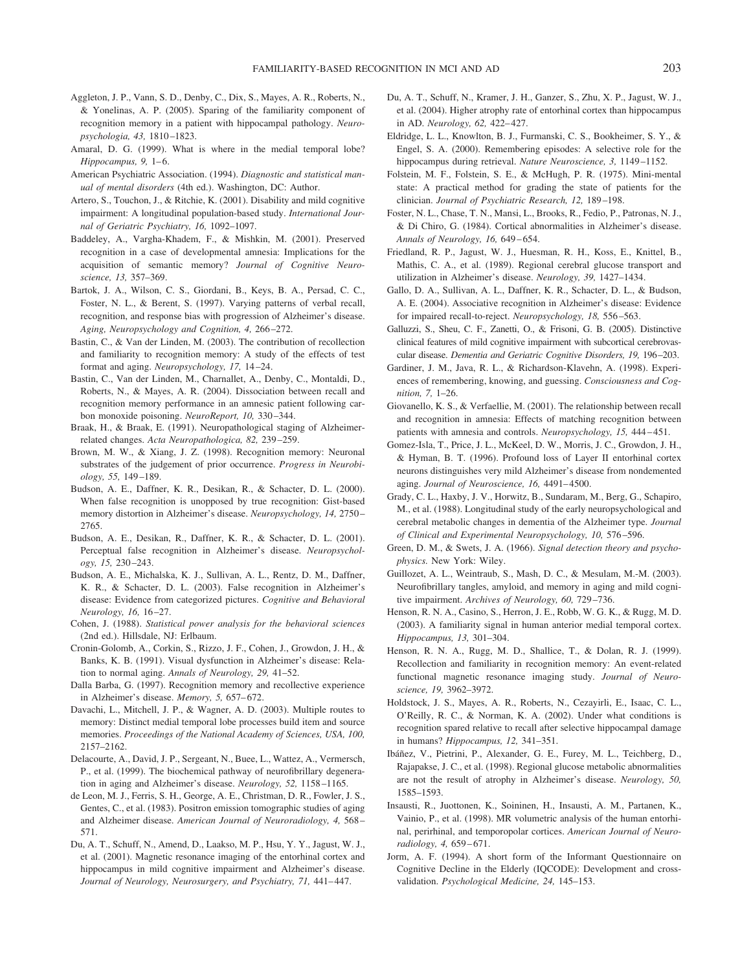- Aggleton, J. P., Vann, S. D., Denby, C., Dix, S., Mayes, A. R., Roberts, N., & Yonelinas, A. P. (2005). Sparing of the familiarity component of recognition memory in a patient with hippocampal pathology. *Neuropsychologia, 43,* 1810–1823.
- Amaral, D. G. (1999). What is where in the medial temporal lobe? *Hippocampus, 9,* 1–6.
- American Psychiatric Association. (1994). *Diagnostic and statistical manual of mental disorders* (4th ed.). Washington, DC: Author.
- Artero, S., Touchon, J., & Ritchie, K. (2001). Disability and mild cognitive impairment: A longitudinal population-based study. *International Journal of Geriatric Psychiatry, 16,* 1092–1097.
- Baddeley, A., Vargha-Khadem, F., & Mishkin, M. (2001). Preserved recognition in a case of developmental amnesia: Implications for the acquisition of semantic memory? *Journal of Cognitive Neuroscience, 13,* 357–369.
- Bartok, J. A., Wilson, C. S., Giordani, B., Keys, B. A., Persad, C. C., Foster, N. L., & Berent, S. (1997). Varying patterns of verbal recall, recognition, and response bias with progression of Alzheimer's disease. *Aging, Neuropsychology and Cognition, 4,* 266–272.
- Bastin, C., & Van der Linden, M. (2003). The contribution of recollection and familiarity to recognition memory: A study of the effects of test format and aging. *Neuropsychology, 17,* 14–24.
- Bastin, C., Van der Linden, M., Charnallet, A., Denby, C., Montaldi, D., Roberts, N., & Mayes, A. R. (2004). Dissociation between recall and recognition memory performance in an amnesic patient following carbon monoxide poisoning. *NeuroReport, 10,* 330–344.
- Braak, H., & Braak, E. (1991). Neuropathological staging of Alzheimerrelated changes. *Acta Neuropathologica, 82,* 239–259.
- Brown, M. W., & Xiang, J. Z. (1998). Recognition memory: Neuronal substrates of the judgement of prior occurrence. *Progress in Neurobiology, 55,* 149–189.
- Budson, A. E., Daffner, K. R., Desikan, R., & Schacter, D. L. (2000). When false recognition is unopposed by true recognition: Gist-based memory distortion in Alzheimer's disease. *Neuropsychology, 14,* 2750– 2765.
- Budson, A. E., Desikan, R., Daffner, K. R., & Schacter, D. L. (2001). Perceptual false recognition in Alzheimer's disease. *Neuropsychology, 15,* 230–243.
- Budson, A. E., Michalska, K. J., Sullivan, A. L., Rentz, D. M., Daffner, K. R., & Schacter, D. L. (2003). False recognition in Alzheimer's disease: Evidence from categorized pictures. *Cognitive and Behavioral Neurology, 16,* 16–27.
- Cohen, J. (1988). *Statistical power analysis for the behavioral sciences* (2nd ed.). Hillsdale, NJ: Erlbaum.
- Cronin-Golomb, A., Corkin, S., Rizzo, J. F., Cohen, J., Growdon, J. H., & Banks, K. B. (1991). Visual dysfunction in Alzheimer's disease: Relation to normal aging. *Annals of Neurology, 29,* 41–52.
- Dalla Barba, G. (1997). Recognition memory and recollective experience in Alzheimer's disease. *Memory, 5,* 657–672.
- Davachi, L., Mitchell, J. P., & Wagner, A. D. (2003). Multiple routes to memory: Distinct medial temporal lobe processes build item and source memories. *Proceedings of the National Academy of Sciences, USA, 100,* 2157–2162.
- Delacourte, A., David, J. P., Sergeant, N., Buee, L., Wattez, A., Vermersch, P., et al. (1999). The biochemical pathway of neurofibrillary degeneration in aging and Alzheimer's disease. *Neurology, 52,* 1158–1165.
- de Leon, M. J., Ferris, S. H., George, A. E., Christman, D. R., Fowler, J. S., Gentes, C., et al. (1983). Positron emission tomographic studies of aging and Alzheimer disease. *American Journal of Neuroradiology, 4,* 568– 571.
- Du, A. T., Schuff, N., Amend, D., Laakso, M. P., Hsu, Y. Y., Jagust, W. J., et al. (2001). Magnetic resonance imaging of the entorhinal cortex and hippocampus in mild cognitive impairment and Alzheimer's disease. *Journal of Neurology, Neurosurgery, and Psychiatry, 71,* 441–447.
- Du, A. T., Schuff, N., Kramer, J. H., Ganzer, S., Zhu, X. P., Jagust, W. J., et al. (2004). Higher atrophy rate of entorhinal cortex than hippocampus in AD. *Neurology, 62,* 422–427.
- Eldridge, L. L., Knowlton, B. J., Furmanski, C. S., Bookheimer, S. Y., & Engel, S. A. (2000). Remembering episodes: A selective role for the hippocampus during retrieval. *Nature Neuroscience, 3,* 1149–1152.
- Folstein, M. F., Folstein, S. E., & McHugh, P. R. (1975). Mini-mental state: A practical method for grading the state of patients for the clinician. *Journal of Psychiatric Research, 12,* 189–198.
- Foster, N. L., Chase, T. N., Mansi, L., Brooks, R., Fedio, P., Patronas, N. J., & Di Chiro, G. (1984). Cortical abnormalities in Alzheimer's disease. *Annals of Neurology, 16,* 649–654.
- Friedland, R. P., Jagust, W. J., Huesman, R. H., Koss, E., Knittel, B., Mathis, C. A., et al. (1989). Regional cerebral glucose transport and utilization in Alzheimer's disease. *Neurology, 39,* 1427–1434.
- Gallo, D. A., Sullivan, A. L., Daffner, K. R., Schacter, D. L., & Budson, A. E. (2004). Associative recognition in Alzheimer's disease: Evidence for impaired recall-to-reject. *Neuropsychology, 18,* 556–563.
- Galluzzi, S., Sheu, C. F., Zanetti, O., & Frisoni, G. B. (2005). Distinctive clinical features of mild cognitive impairment with subcortical cerebrovascular disease. *Dementia and Geriatric Cognitive Disorders, 19,* 196–203.
- Gardiner, J. M., Java, R. L., & Richardson-Klavehn, A. (1998). Experiences of remembering, knowing, and guessing. *Consciousness and Cognition, 7,* 1–26.
- Giovanello, K. S., & Verfaellie, M. (2001). The relationship between recall and recognition in amnesia: Effects of matching recognition between patients with amnesia and controls. *Neuropsychology, 15,* 444–451.
- Gomez-Isla, T., Price, J. L., McKeel, D. W., Morris, J. C., Growdon, J. H., & Hyman, B. T. (1996). Profound loss of Layer II entorhinal cortex neurons distinguishes very mild Alzheimer's disease from nondemented aging. *Journal of Neuroscience, 16,* 4491–4500.
- Grady, C. L., Haxby, J. V., Horwitz, B., Sundaram, M., Berg, G., Schapiro, M., et al. (1988). Longitudinal study of the early neuropsychological and cerebral metabolic changes in dementia of the Alzheimer type. *Journal of Clinical and Experimental Neuropsychology, 10,* 576–596.
- Green, D. M., & Swets, J. A. (1966). *Signal detection theory and psychophysics.* New York: Wiley.
- Guillozet, A. L., Weintraub, S., Mash, D. C., & Mesulam, M.-M. (2003). Neurofibrillary tangles, amyloid, and memory in aging and mild cognitive impairment. *Archives of Neurology, 60,* 729–736.
- Henson, R. N. A., Casino, S., Herron, J. E., Robb, W. G. K., & Rugg, M. D. (2003). A familiarity signal in human anterior medial temporal cortex. *Hippocampus, 13,* 301–304.
- Henson, R. N. A., Rugg, M. D., Shallice, T., & Dolan, R. J. (1999). Recollection and familiarity in recognition memory: An event-related functional magnetic resonance imaging study. *Journal of Neuroscience, 19,* 3962–3972.
- Holdstock, J. S., Mayes, A. R., Roberts, N., Cezayirli, E., Isaac, C. L., O'Reilly, R. C., & Norman, K. A. (2002). Under what conditions is recognition spared relative to recall after selective hippocampal damage in humans? *Hippocampus, 12,* 341–351.
- Ibáñez, V., Pietrini, P., Alexander, G. E., Furey, M. L., Teichberg, D., Rajapakse, J. C., et al. (1998). Regional glucose metabolic abnormalities are not the result of atrophy in Alzheimer's disease. *Neurology, 50,* 1585–1593.
- Insausti, R., Juottonen, K., Soininen, H., Insausti, A. M., Partanen, K., Vainio, P., et al. (1998). MR volumetric analysis of the human entorhinal, perirhinal, and temporopolar cortices. *American Journal of Neuroradiology, 4,* 659–671.
- Jorm, A. F. (1994). A short form of the Informant Questionnaire on Cognitive Decline in the Elderly (IQCODE): Development and crossvalidation. *Psychological Medicine, 24,* 145–153.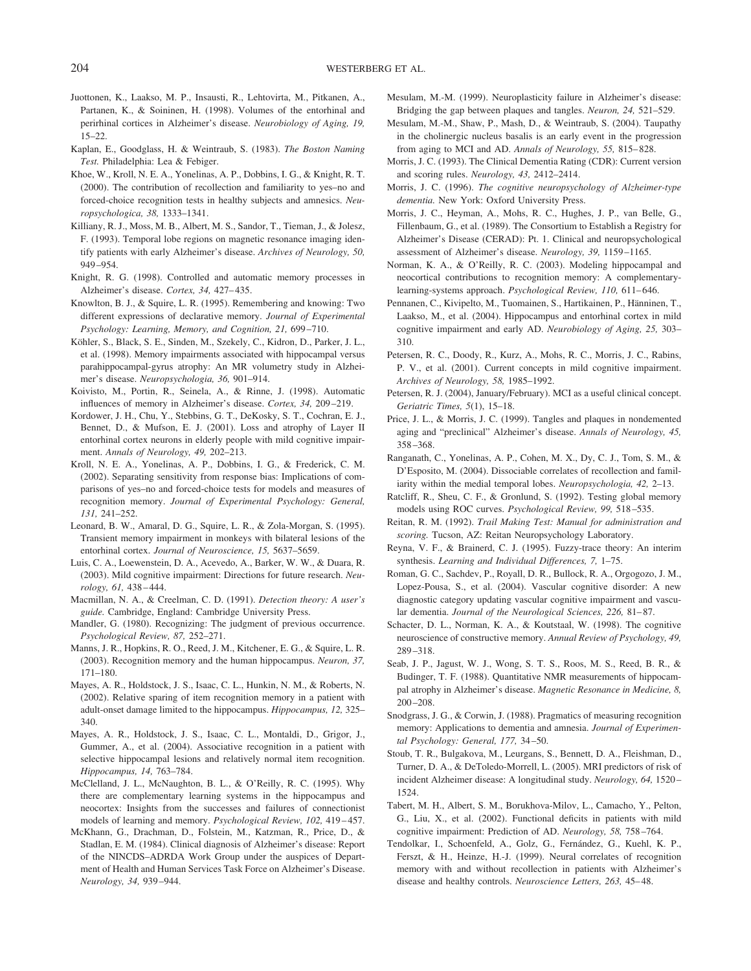- Juottonen, K., Laakso, M. P., Insausti, R., Lehtovirta, M., Pitkanen, A., Partanen, K., & Soininen, H. (1998). Volumes of the entorhinal and perirhinal cortices in Alzheimer's disease. *Neurobiology of Aging, 19,* 15–22.
- Kaplan, E., Goodglass, H. & Weintraub, S. (1983). *The Boston Naming Test.* Philadelphia: Lea & Febiger.
- Khoe, W., Kroll, N. E. A., Yonelinas, A. P., Dobbins, I. G., & Knight, R. T. (2000). The contribution of recollection and familiarity to yes–no and forced-choice recognition tests in healthy subjects and amnesics. *Neuropsychologica, 38,* 1333–1341.
- Killiany, R. J., Moss, M. B., Albert, M. S., Sandor, T., Tieman, J., & Jolesz, F. (1993). Temporal lobe regions on magnetic resonance imaging identify patients with early Alzheimer's disease. *Archives of Neurology, 50,* 949–954.
- Knight, R. G. (1998). Controlled and automatic memory processes in Alzheimer's disease. *Cortex, 34,* 427–435.
- Knowlton, B. J., & Squire, L. R. (1995). Remembering and knowing: Two different expressions of declarative memory. *Journal of Experimental Psychology: Learning, Memory, and Cognition, 21,* 699–710.
- Köhler, S., Black, S. E., Sinden, M., Szekely, C., Kidron, D., Parker, J. L., et al. (1998). Memory impairments associated with hippocampal versus parahippocampal-gyrus atrophy: An MR volumetry study in Alzheimer's disease. *Neuropsychologia, 36,* 901–914.
- Koivisto, M., Portin, R., Seinela, A., & Rinne, J. (1998). Automatic influences of memory in Alzheimer's disease. *Cortex, 34,* 209–219.
- Kordower, J. H., Chu, Y., Stebbins, G. T., DeKosky, S. T., Cochran, E. J., Bennet, D., & Mufson, E. J. (2001). Loss and atrophy of Layer II entorhinal cortex neurons in elderly people with mild cognitive impairment. *Annals of Neurology, 49,* 202–213.
- Kroll, N. E. A., Yonelinas, A. P., Dobbins, I. G., & Frederick, C. M. (2002). Separating sensitivity from response bias: Implications of comparisons of yes–no and forced-choice tests for models and measures of recognition memory. *Journal of Experimental Psychology: General, 131,* 241–252.
- Leonard, B. W., Amaral, D. G., Squire, L. R., & Zola-Morgan, S. (1995). Transient memory impairment in monkeys with bilateral lesions of the entorhinal cortex. *Journal of Neuroscience, 15,* 5637–5659.
- Luis, C. A., Loewenstein, D. A., Acevedo, A., Barker, W. W., & Duara, R. (2003). Mild cognitive impairment: Directions for future research. *Neurology, 61,* 438–444.
- Macmillan, N. A., & Creelman, C. D. (1991). *Detection theory: A user's guide.* Cambridge, England: Cambridge University Press.
- Mandler, G. (1980). Recognizing: The judgment of previous occurrence. *Psychological Review, 87,* 252–271.
- Manns, J. R., Hopkins, R. O., Reed, J. M., Kitchener, E. G., & Squire, L. R. (2003). Recognition memory and the human hippocampus. *Neuron, 37,* 171–180.
- Mayes, A. R., Holdstock, J. S., Isaac, C. L., Hunkin, N. M., & Roberts, N. (2002). Relative sparing of item recognition memory in a patient with adult-onset damage limited to the hippocampus. *Hippocampus, 12,* 325– 340.
- Mayes, A. R., Holdstock, J. S., Isaac, C. L., Montaldi, D., Grigor, J., Gummer, A., et al. (2004). Associative recognition in a patient with selective hippocampal lesions and relatively normal item recognition. *Hippocampus, 14,* 763–784.
- McClelland, J. L., McNaughton, B. L., & O'Reilly, R. C. (1995). Why there are complementary learning systems in the hippocampus and neocortex: Insights from the successes and failures of connectionist models of learning and memory. *Psychological Review, 102,* 419–457.
- McKhann, G., Drachman, D., Folstein, M., Katzman, R., Price, D., & Stadlan, E. M. (1984). Clinical diagnosis of Alzheimer's disease: Report of the NINCDS–ADRDA Work Group under the auspices of Department of Health and Human Services Task Force on Alzheimer's Disease. *Neurology, 34,* 939–944.
- Mesulam, M.-M. (1999). Neuroplasticity failure in Alzheimer's disease: Bridging the gap between plaques and tangles. *Neuron, 24,* 521–529.
- Mesulam, M.-M., Shaw, P., Mash, D., & Weintraub, S. (2004). Taupathy in the cholinergic nucleus basalis is an early event in the progression from aging to MCI and AD. *Annals of Neurology, 55,* 815–828.
- Morris, J. C. (1993). The Clinical Dementia Rating (CDR): Current version and scoring rules. *Neurology, 43,* 2412–2414.
- Morris, J. C. (1996). *The cognitive neuropsychology of Alzheimer-type dementia.* New York: Oxford University Press.
- Morris, J. C., Heyman, A., Mohs, R. C., Hughes, J. P., van Belle, G., Fillenbaum, G., et al. (1989). The Consortium to Establish a Registry for Alzheimer's Disease (CERAD): Pt. 1. Clinical and neuropsychological assessment of Alzheimer's disease. *Neurology, 39,* 1159–1165.
- Norman, K. A., & O'Reilly, R. C. (2003). Modeling hippocampal and neocortical contributions to recognition memory: A complementarylearning-systems approach. *Psychological Review, 110,* 611–646.
- Pennanen, C., Kivipelto, M., Tuomainen, S., Hartikainen, P., Hänninen, T., Laakso, M., et al. (2004). Hippocampus and entorhinal cortex in mild cognitive impairment and early AD. *Neurobiology of Aging, 25,* 303– 310.
- Petersen, R. C., Doody, R., Kurz, A., Mohs, R. C., Morris, J. C., Rabins, P. V., et al. (2001). Current concepts in mild cognitive impairment. *Archives of Neurology, 58,* 1985–1992.
- Petersen, R. J. (2004), January/February). MCI as a useful clinical concept. *Geriatric Times, 5*(1), 15–18.
- Price, J. L., & Morris, J. C. (1999). Tangles and plaques in nondemented aging and "preclinical" Alzheimer's disease. *Annals of Neurology, 45,* 358–368.
- Ranganath, C., Yonelinas, A. P., Cohen, M. X., Dy, C. J., Tom, S. M., & D'Esposito, M. (2004). Dissociable correlates of recollection and familiarity within the medial temporal lobes. *Neuropsychologia, 42,* 2–13.
- Ratcliff, R., Sheu, C. F., & Gronlund, S. (1992). Testing global memory models using ROC curves. *Psychological Review, 99,* 518–535.
- Reitan, R. M. (1992). *Trail Making Test: Manual for administration and scoring.* Tucson, AZ: Reitan Neuropsychology Laboratory.
- Reyna, V. F., & Brainerd, C. J. (1995). Fuzzy-trace theory: An interim synthesis. *Learning and Individual Differences, 7,* 1–75.
- Roman, G. C., Sachdev, P., Royall, D. R., Bullock, R. A., Orgogozo, J. M., Lopez-Pousa, S., et al. (2004). Vascular cognitive disorder: A new diagnostic category updating vascular cognitive impairment and vascular dementia. *Journal of the Neurological Sciences, 226,* 81–87.
- Schacter, D. L., Norman, K. A., & Koutstaal, W. (1998). The cognitive neuroscience of constructive memory. *Annual Review of Psychology, 49,* 289–318.
- Seab, J. P., Jagust, W. J., Wong, S. T. S., Roos, M. S., Reed, B. R., & Budinger, T. F. (1988). Quantitative NMR measurements of hippocampal atrophy in Alzheimer's disease. *Magnetic Resonance in Medicine, 8,* 200–208.
- Snodgrass, J. G., & Corwin, J. (1988). Pragmatics of measuring recognition memory: Applications to dementia and amnesia. *Journal of Experimental Psychology: General, 177,* 34–50.
- Stoub, T. R., Bulgakova, M., Leurgans, S., Bennett, D. A., Fleishman, D., Turner, D. A., & DeToledo-Morrell, L. (2005). MRI predictors of risk of incident Alzheimer disease: A longitudinal study. *Neurology, 64,* 1520– 1524.
- Tabert, M. H., Albert, S. M., Borukhova-Milov, L., Camacho, Y., Pelton, G., Liu, X., et al. (2002). Functional deficits in patients with mild cognitive impairment: Prediction of AD. *Neurology, 58,* 758–764.
- Tendolkar, I., Schoenfeld, A., Golz, G., Fernández, G., Kuehl, K. P., Ferszt, & H., Heinze, H.-J. (1999). Neural correlates of recognition memory with and without recollection in patients with Alzheimer's disease and healthy controls. *Neuroscience Letters, 263,* 45–48.